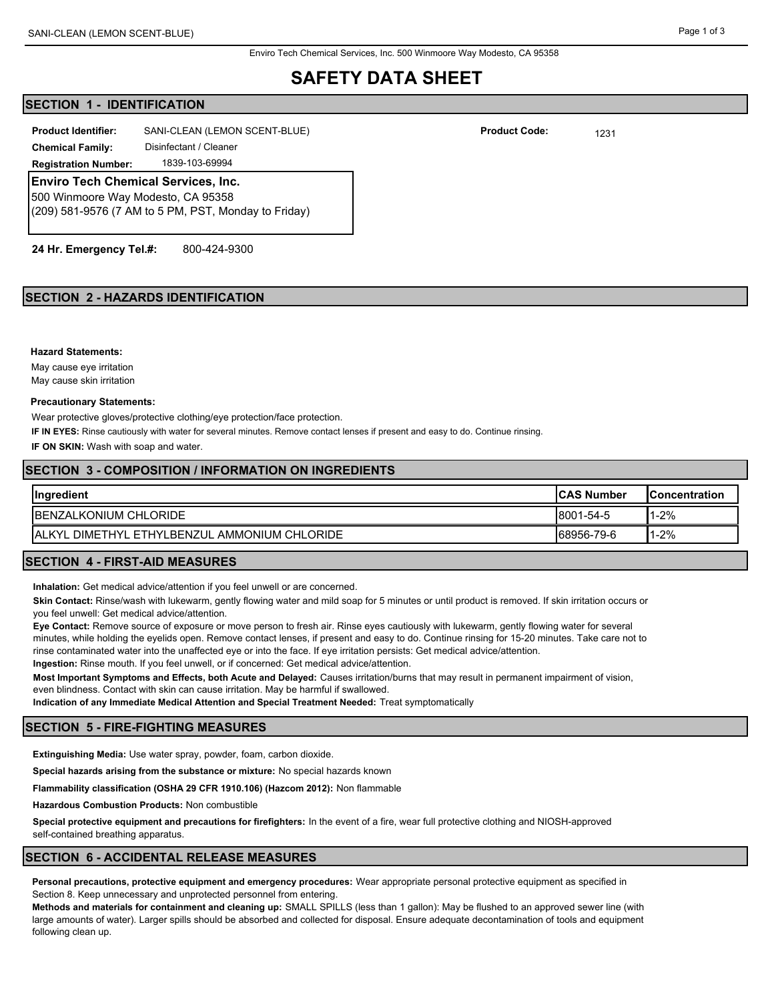## **SAFETY DATA SHEET**

## **SECTION 1 - IDENTIFICATION**

**Product Identifier:** SANI-CLEAN (LEMON SCENT-BLUE) **1231 Product Code:** 1231

**Chemical Family:** Disinfectant / Cleaner

**Registration Number:** 1839-103-69994

**Enviro Tech Chemical Services, Inc.**

500 Winmoore Way Modesto, CA 95358 (209) 581-9576 (7 AM to 5 PM, PST, Monday to Friday)

**24 Hr. Emergency Tel.#:** 800-424-9300

## **SECTION 2 - HAZARDS IDENTIFICATION**

#### **Hazard Statements:**

May cause eye irritation May cause skin irritation

#### **Precautionary Statements:**

Wear protective gloves/protective clothing/eye protection/face protection.

**IF IN EYES:** Rinse cautiously with water for several minutes. Remove contact lenses if present and easy to do. Continue rinsing.

**IF ON SKIN:** Wash with soap and water.

#### **SECTION 3 - COMPOSITION / INFORMATION ON INGREDIENTS**

| <b>Ingredient</b>                                    | <b>ICAS Number</b> | <b>IConcentration</b> |
|------------------------------------------------------|--------------------|-----------------------|
| <b>IBENZALKONIUM CHLORIDE</b>                        | 8001-54-5          | 1-2%                  |
| <b>IALKYL DIMETHYL ETHYLBENZUL AMMONIUM CHLORIDE</b> | 68956-79-6         | 1-2%                  |

## **SECTION 4 - FIRST-AID MEASURES**

**Inhalation:** Get medical advice/attention if you feel unwell or are concerned.

**Skin Contact:** Rinse/wash with lukewarm, gently flowing water and mild soap for 5 minutes or until product is removed. If skin irritation occurs or you feel unwell: Get medical advice/attention.

**Eye Contact:** Remove source of exposure or move person to fresh air. Rinse eyes cautiously with lukewarm, gently flowing water for several minutes, while holding the eyelids open. Remove contact lenses, if present and easy to do. Continue rinsing for 15-20 minutes. Take care not to rinse contaminated water into the unaffected eye or into the face. If eye irritation persists: Get medical advice/attention. **Ingestion:** Rinse mouth. If you feel unwell, or if concerned: Get medical advice/attention.

**Most Important Symptoms and Effects, both Acute and Delayed:** Causes irritation/burns that may result in permanent impairment of vision, even blindness. Contact with skin can cause irritation. May be harmful if swallowed.

**Indication of any Immediate Medical Attention and Special Treatment Needed:** Treat symptomatically

#### **SECTION 5 - FIRE-FIGHTING MEASURES**

**Extinguishing Media:** Use water spray, powder, foam, carbon dioxide.

**Special hazards arising from the substance or mixture:** No special hazards known

**Flammability classification (OSHA 29 CFR 1910.106) (Hazcom 2012):** Non flammable

**Hazardous Combustion Products:** Non combustible

**Special protective equipment and precautions for firefighters:** In the event of a fire, wear full protective clothing and NIOSH-approved self-contained breathing apparatus.

#### **SECTION 6 - ACCIDENTAL RELEASE MEASURES**

**Personal precautions, protective equipment and emergency procedures:** Wear appropriate personal protective equipment as specified in Section 8. Keep unnecessary and unprotected personnel from entering.

**Methods and materials for containment and cleaning up:** SMALL SPILLS (less than 1 gallon): May be flushed to an approved sewer line (with large amounts of water). Larger spills should be absorbed and collected for disposal. Ensure adequate decontamination of tools and equipment following clean up.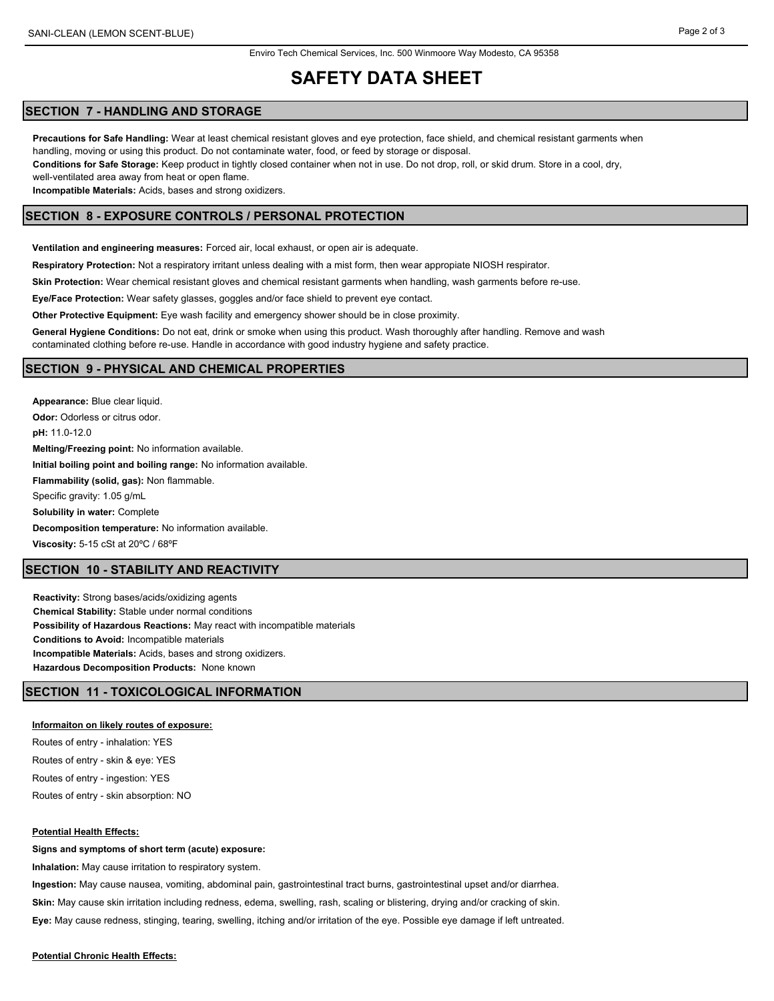# **SAFETY DATA SHEET**

## **SECTION 7 - HANDLING AND STORAGE**

**Precautions for Safe Handling:** Wear at least chemical resistant gloves and eye protection, face shield, and chemical resistant garments when handling, moving or using this product. Do not contaminate water, food, or feed by storage or disposal.

**Conditions for Safe Storage:** Keep product in tightly closed container when not in use. Do not drop, roll, or skid drum. Store in a cool, dry, well-ventilated area away from heat or open flame.

**Incompatible Materials:** Acids, bases and strong oxidizers.

## **SECTION 8 - EXPOSURE CONTROLS / PERSONAL PROTECTION**

**Ventilation and engineering measures:** Forced air, local exhaust, or open air is adequate.

**Respiratory Protection:** Not a respiratory irritant unless dealing with a mist form, then wear appropiate NIOSH respirator.

**Skin Protection:** Wear chemical resistant gloves and chemical resistant garments when handling, wash garments before re-use.

**Eye/Face Protection:** Wear safety glasses, goggles and/or face shield to prevent eye contact.

**Other Protective Equipment:** Eye wash facility and emergency shower should be in close proximity.

**General Hygiene Conditions:** Do not eat, drink or smoke when using this product. Wash thoroughly after handling. Remove and wash contaminated clothing before re-use. Handle in accordance with good industry hygiene and safety practice.

## **SECTION 9 - PHYSICAL AND CHEMICAL PROPERTIES**

**Appearance:** Blue clear liquid. **Odor: Odorless or citrus odor. pH:** 11.0-12.0 **Melting/Freezing point:** No information available. **Initial boiling point and boiling range:** No information available. **Flammability (solid, gas):** Non flammable. Specific gravity: 1.05 g/mL **Solubility in water:** Complete **Decomposition temperature:** No information available. **Viscosity:** 5-15 cSt at 20ºC / 68ºF

## **SECTION 10 - STABILITY AND REACTIVITY**

**Reactivity:** Strong bases/acids/oxidizing agents **Chemical Stability:** Stable under normal conditions **Possibility of Hazardous Reactions:** May react with incompatible materials **Conditions to Avoid:** Incompatible materials **Incompatible Materials:** Acids, bases and strong oxidizers. **Hazardous Decomposition Products:** None known

## **SECTION 11 - TOXICOLOGICAL INFORMATION**

## **Informaiton on likely routes of exposure:**

Routes of entry - inhalation: YES Routes of entry - skin & eye: YES Routes of entry - ingestion: YES Routes of entry - skin absorption: NO

## **Potential Health Effects:**

**Signs and symptoms of short term (acute) exposure:**

**Inhalation:** May cause irritation to respiratory system.

**Ingestion:** May cause nausea, vomiting, abdominal pain, gastrointestinal tract burns, gastrointestinal upset and/or diarrhea. **Skin:** May cause skin irritation including redness, edema, swelling, rash, scaling or blistering, drying and/or cracking of skin. **Eye:** May cause redness, stinging, tearing, swelling, itching and/or irritation of the eye. Possible eye damage if left untreated.